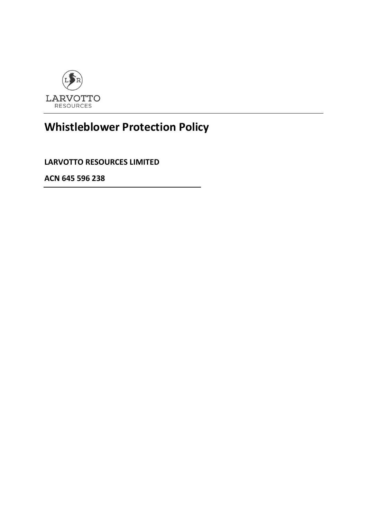

# **Whistleblower Protection Policy**

**LARVOTTO RESOURCES LIMITED**

**ACN 645 596 238**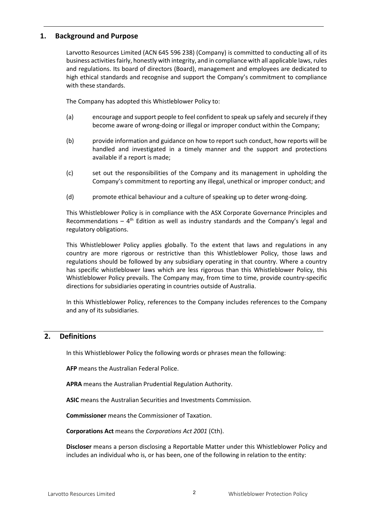# **1. Background and Purpose**

Larvotto Resources Limited (ACN 645 596 238) (Company) is committed to conducting all of its business activities fairly, honestly with integrity, and in compliance with all applicable laws, rules and regulations. Its board of directors (Board), management and employees are dedicated to high ethical standards and recognise and support the Company's commitment to compliance with these standards.

The Company has adopted this Whistleblower Policy to:

- (a) encourage and support people to feel confident to speak up safely and securely if they become aware of wrong-doing or illegal or improper conduct within the Company;
- (b) provide information and guidance on how to report such conduct, how reports will be handled and investigated in a timely manner and the support and protections available if a report is made;
- (c) set out the responsibilities of the Company and its management in upholding the Company's commitment to reporting any illegal, unethical or improper conduct; and
- (d) promote ethical behaviour and a culture of speaking up to deter wrong-doing.

This Whistleblower Policy is in compliance with the ASX Corporate Governance Principles and Recommendations  $-4$ <sup>th</sup> Edition as well as industry standards and the Company's legal and regulatory obligations.

This Whistleblower Policy applies globally. To the extent that laws and regulations in any country are more rigorous or restrictive than this Whistleblower Policy, those laws and regulations should be followed by any subsidiary operating in that country. Where a country has specific whistleblower laws which are less rigorous than this Whistleblower Policy, this Whistleblower Policy prevails. The Company may, from time to time, provide country-specific directions for subsidiaries operating in countries outside of Australia.

In this Whistleblower Policy, references to the Company includes references to the Company and any of its subsidiaries.

# **2. Definitions**

In this Whistleblower Policy the following words or phrases mean the following:

**AFP** means the Australian Federal Police.

**APRA** means the Australian Prudential Regulation Authority.

**ASIC** means the Australian Securities and Investments Commission.

**Commissioner** means the Commissioner of Taxation.

**Corporations Act** means the *Corporations Act 2001* (Cth).

**Discloser** means a person disclosing a Reportable Matter under this Whistleblower Policy and includes an individual who is, or has been, one of the following in relation to the entity: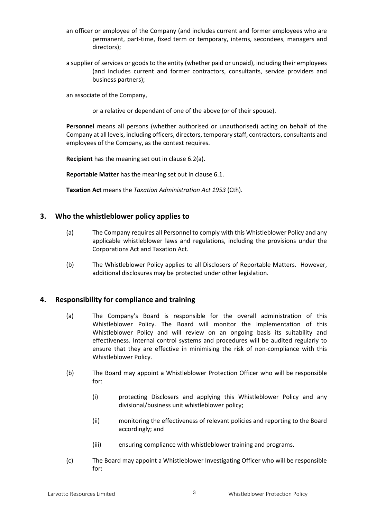- an officer or employee of the Company (and includes current and former employees who are permanent, part-time, fixed term or temporary, interns, secondees, managers and directors);
- a supplier of services or goods to the entity (whether paid or unpaid), including their employees (and includes current and former contractors, consultants, service providers and business partners);

an associate of the Company,

or a relative or dependant of one of the above (or of their spouse).

**Personnel** means all persons (whether authorised or unauthorised) acting on behalf of the Company at all levels, including officers, directors, temporary staff, contractors, consultants and employees of the Company, as the context requires.

**Recipient** has the meaning set out in clause [6.2\(a\).](#page-5-0)

**Reportable Matter** has the meaning set out in clause [6.1.](#page-3-0)

**Taxation Act** means the *Taxation Administration Act 1953* (Cth).

# **3. Who the whistleblower policy applies to**

- (a) The Company requires all Personnel to comply with this Whistleblower Policy and any applicable whistleblower laws and regulations, including the provisions under the Corporations Act and Taxation Act.
- (b) The Whistleblower Policy applies to all Disclosers of Reportable Matters. However, additional disclosures may be protected under other legislation.

#### **4. Responsibility for compliance and training**

- (a) The Company's Board is responsible for the overall administration of this Whistleblower Policy. The Board will monitor the implementation of this Whistleblower Policy and will review on an ongoing basis its suitability and effectiveness. Internal control systems and procedures will be audited regularly to ensure that they are effective in minimising the risk of non-compliance with this Whistleblower Policy.
- (b) The Board may appoint a Whistleblower Protection Officer who will be responsible for:
	- (i) protecting Disclosers and applying this Whistleblower Policy and any divisional/business unit whistleblower policy;
	- (ii) monitoring the effectiveness of relevant policies and reporting to the Board accordingly; and
	- (iii) ensuring compliance with whistleblower training and programs.
- (c) The Board may appoint a Whistleblower Investigating Officer who will be responsible for: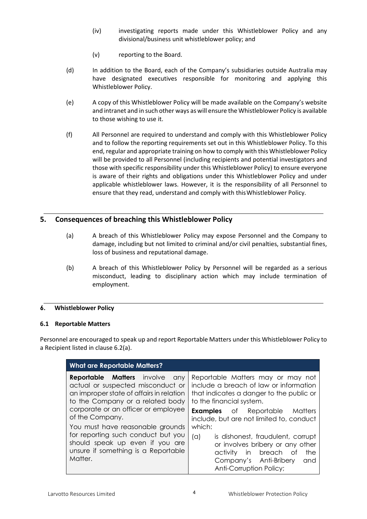- (iv) investigating reports made under this Whistleblower Policy and any divisional/business unit whistleblower policy; and
- (v) reporting to the Board.
- (d) In addition to the Board, each of the Company's subsidiaries outside Australia may have designated executives responsible for monitoring and applying this Whistleblower Policy.
- (e) A copy of this Whistleblower Policy will be made available on the Company's website and intranet and in such other ways as will ensure the Whistleblower Policy is available to those wishing to use it.
- (f) All Personnel are required to understand and comply with this Whistleblower Policy and to follow the reporting requirements set out in this Whistleblower Policy. To this end, regular and appropriate training on how to comply with this Whistleblower Policy will be provided to all Personnel (including recipients and potential investigators and those with specific responsibility under this Whistleblower Policy) to ensure everyone is aware of their rights and obligations under this Whistleblower Policy and under applicable whistleblower laws. However, it is the responsibility of all Personnel to ensure that they read, understand and comply with thisWhistleblower Policy.

# **5. Consequences of breaching this Whistleblower Policy**

- (a) A breach of this Whistleblower Policy may expose Personnel and the Company to damage, including but not limited to criminal and/or civil penalties, substantial fines, loss of business and reputational damage.
- (b) A breach of this Whistleblower Policy by Personnel will be regarded as a serious misconduct, leading to disciplinary action which may include termination of employment.

#### **6. Whistleblower Policy**

#### <span id="page-3-0"></span>**6.1 Reportable Matters**

Personnel are encouraged to speak up and report Reportable Matters under this Whistleblower Policy to a Recipient listed in clause [6.2\(a\).](#page-5-0)

| <b>What are Reportable Matters?</b>                                                                                     |                                                                                                                                                                                |
|-------------------------------------------------------------------------------------------------------------------------|--------------------------------------------------------------------------------------------------------------------------------------------------------------------------------|
| <b>Reportable Matters</b> involve any                                                                                   | Reportable Matters may or may not                                                                                                                                              |
| actual or suspected misconduct or                                                                                       | include a breach of law or information                                                                                                                                         |
| an improper state of affairs in relation                                                                                | that indicates a danger to the public or                                                                                                                                       |
| to the Company or a related body                                                                                        | to the financial system.                                                                                                                                                       |
| corporate or an officer or employee                                                                                     | <b>Examples</b> of Reportable Matters                                                                                                                                          |
| of the Company.                                                                                                         | include, but are not limited to, conduct                                                                                                                                       |
| You must have reasonable grounds                                                                                        | which:                                                                                                                                                                         |
| for reporting such conduct but you<br>should speak up even if you are<br>unsure if something is a Reportable<br>Matter. | is dishonest, fraudulent, corrupt<br>(a)<br>or involves bribery or any other<br>in breach<br>the<br>activity<br>of<br>Company's Anti-Bribery<br>and<br>Anti-Corruption Policy; |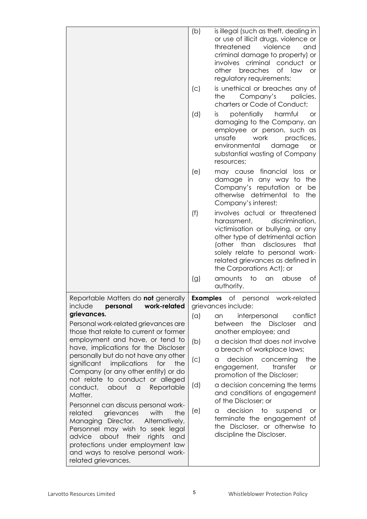|                                                                                                                                                                                                                                                                                                                                                                                                                                                                                                                                                                                                                                                                                                                                                                                             | (b)<br>(C)<br>(d)      | is illegal (such as theft, dealing in<br>or use of illicit drugs, violence or<br>threatened<br>violence<br>and<br>criminal damage to property) or<br>involves criminal conduct<br><b>or</b><br>breaches<br>of law<br>other<br><b>or</b><br>regulatory requirements;<br>is unethical or breaches any of<br>Company's<br>the<br>policies,<br>charters or Code of Conduct;<br>potentially<br>harmful<br>İS.<br><b>or</b><br>damaging to the Company, an<br>employee or person, such as<br>unsafe<br>work<br>practices,<br>environmental<br>damage<br><b>or</b><br>substantial wasting of Company |
|---------------------------------------------------------------------------------------------------------------------------------------------------------------------------------------------------------------------------------------------------------------------------------------------------------------------------------------------------------------------------------------------------------------------------------------------------------------------------------------------------------------------------------------------------------------------------------------------------------------------------------------------------------------------------------------------------------------------------------------------------------------------------------------------|------------------------|-----------------------------------------------------------------------------------------------------------------------------------------------------------------------------------------------------------------------------------------------------------------------------------------------------------------------------------------------------------------------------------------------------------------------------------------------------------------------------------------------------------------------------------------------------------------------------------------------|
|                                                                                                                                                                                                                                                                                                                                                                                                                                                                                                                                                                                                                                                                                                                                                                                             | (e)                    | resources;<br>may cause financial loss<br>or<br>damage in any way to<br>the<br>Company's reputation or<br>be<br>otherwise detrimental<br>the<br>to<br>Company's interest;                                                                                                                                                                                                                                                                                                                                                                                                                     |
|                                                                                                                                                                                                                                                                                                                                                                                                                                                                                                                                                                                                                                                                                                                                                                                             | (f)                    | involves actual or threatened<br>discrimination,<br>harassment,<br>victimisation or bullying, or any<br>other type of detrimental action<br>(other than disclosures<br>that<br>solely relate to personal work-<br>related grievances as defined in<br>the Corporations Act); or                                                                                                                                                                                                                                                                                                               |
|                                                                                                                                                                                                                                                                                                                                                                                                                                                                                                                                                                                                                                                                                                                                                                                             | (g)                    | amounts<br>to<br>abuse<br>an<br>Оf<br>authority.                                                                                                                                                                                                                                                                                                                                                                                                                                                                                                                                              |
| Reportable Matters do <b>not</b> generally<br>work-related<br>include<br>personal<br>grievances.<br>Personal work-related grievances are<br>those that relate to current or former<br>employment and have, or tend to<br>have, implications for the Discloser<br>personally but do not have any other<br>significant implications<br>for<br>the<br>Company (or any other entity) or do<br>not relate to conduct or alleged<br>conduct,<br>about<br>Reportable<br>$\alpha$<br>Matter.<br>Personnel can discuss personal work-<br>grievances<br>with<br>the<br>related<br>Managing Director.<br>Alternatively,<br>Personnel may wish to seek legal<br>advice<br>about their<br>rights<br>and<br>protections under employment law<br>and ways to resolve personal work-<br>related grievances. | <b>Examples</b><br>(a) | of<br>work-related<br>personal<br>grievances include:<br>conflict<br>interpersonal<br>an<br>the<br><b>Discloser</b><br>and<br>between                                                                                                                                                                                                                                                                                                                                                                                                                                                         |
|                                                                                                                                                                                                                                                                                                                                                                                                                                                                                                                                                                                                                                                                                                                                                                                             | (b)                    | another employee; and<br>a decision that does not involve<br>a breach of workplace laws;                                                                                                                                                                                                                                                                                                                                                                                                                                                                                                      |
|                                                                                                                                                                                                                                                                                                                                                                                                                                                                                                                                                                                                                                                                                                                                                                                             | (C)                    | decision concerning<br>the<br>a<br>engagement,<br>transfer<br><b>or</b><br>promotion of the Discloser;                                                                                                                                                                                                                                                                                                                                                                                                                                                                                        |
|                                                                                                                                                                                                                                                                                                                                                                                                                                                                                                                                                                                                                                                                                                                                                                                             | (d)                    | a decision concerning the terms<br>and conditions of engagement<br>of the Discloser; or                                                                                                                                                                                                                                                                                                                                                                                                                                                                                                       |
|                                                                                                                                                                                                                                                                                                                                                                                                                                                                                                                                                                                                                                                                                                                                                                                             | (e)                    | decision<br>to<br>suspend<br>a<br>or<br>terminate the engagement of<br>the Discloser, or otherwise<br>to<br>discipline the Discloser.                                                                                                                                                                                                                                                                                                                                                                                                                                                         |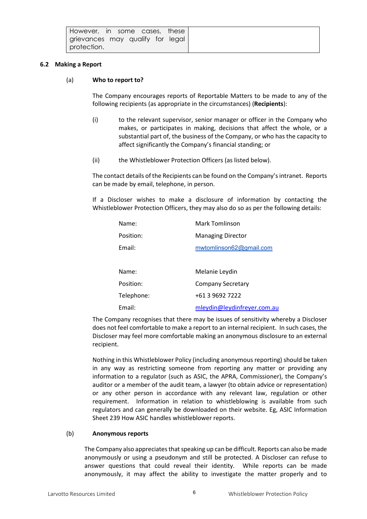#### <span id="page-5-1"></span><span id="page-5-0"></span>**6.2 Making a Report**

#### (a) **Who to report to?**

The Company encourages reports of Reportable Matters to be made to any of the following recipients (as appropriate in the circumstances) (**Recipients**):

- (i) to the relevant supervisor, senior manager or officer in the Company who makes, or participates in making, decisions that affect the whole, or a substantial part of, the business of the Company, or who has the capacity to affect significantly the Company's financial standing; or
- (ii) the Whistleblower Protection Officers (as listed below).

The contact details of the Recipients can be found on the Company's intranet. Reports can be made by email, telephone, in person.

If a Discloser wishes to make a disclosure of information by contacting the Whistleblower Protection Officers, they may also do so as per the following details:

| Name:      | Mark Tomlinson              |
|------------|-----------------------------|
| Position:  | <b>Managing Director</b>    |
| Email:     | mwtomlinson62@gmail.com     |
|            |                             |
| Name:      | Melanie Leydin              |
| Position:  | <b>Company Secretary</b>    |
| Telephone: | +61 3 9692 7222             |
| Email:     | mleydin@leydinfreyer.com.au |

The Company recognises that there may be issues of sensitivity whereby a Discloser does not feel comfortable to make a report to an internal recipient. In such cases, the Discloser may feel more comfortable making an anonymous disclosure to an external recipient.

Nothing in this Whistleblower Policy (including anonymous reporting) should be taken in any way as restricting someone from reporting any matter or providing any information to a regulator (such as ASIC, the APRA, Commissioner), the Company's auditor or a member of the audit team, a lawyer (to obtain advice or representation) or any other person in accordance with any relevant law, regulation or other requirement. Information in relation to whistleblowing is available from such regulators and can generally be downloaded on their website. Eg, ASIC Information Sheet 239 How ASIC handles whistleblower reports.

#### (b) **Anonymous reports**

The Company also appreciates that speaking up can be difficult. Reports can also be made anonymously or using a pseudonym and still be protected. A Discloser can refuse to answer questions that could reveal their identity. While reports can be made anonymously, it may affect the ability to investigate the matter properly and to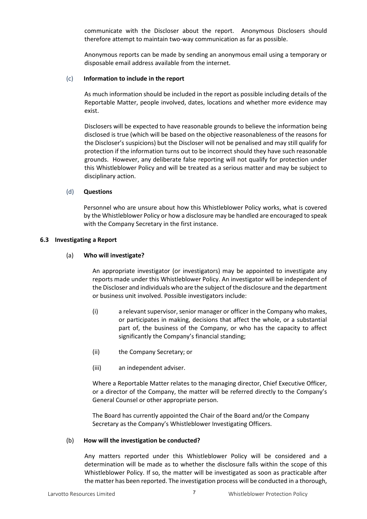communicate with the Discloser about the report. Anonymous Disclosers should therefore attempt to maintain two-way communication as far as possible.

Anonymous reports can be made by sending an anonymous email using a temporary or disposable email address available from the internet.

#### (c) **Information to include in the report**

As much information should be included in the report as possible including details of the Reportable Matter, people involved, dates, locations and whether more evidence may exist.

Disclosers will be expected to have reasonable grounds to believe the information being disclosed is true (which will be based on the objective reasonableness of the reasons for the Discloser's suspicions) but the Discloser will not be penalised and may still qualify for protection if the information turns out to be incorrect should they have such reasonable grounds. However, any deliberate false reporting will not qualify for protection under this Whistleblower Policy and will be treated as a serious matter and may be subject to disciplinary action.

#### (d) **Questions**

Personnel who are unsure about how this Whistleblower Policy works, what is covered by the Whistleblower Policy or how a disclosure may be handled are encouraged to speak with the Company Secretary in the first instance.

#### **6.3 Investigating a Report**

#### (a) **Who will investigate?**

An appropriate investigator (or investigators) may be appointed to investigate any reports made under this Whistleblower Policy. An investigator will be independent of the Discloser and individuals who are the subject of the disclosure and the department or business unit involved. Possible investigators include:

- (i) a relevant supervisor, senior manager or officer in the Company who makes, or participates in making, decisions that affect the whole, or a substantial part of, the business of the Company, or who has the capacity to affect significantly the Company's financial standing;
- (ii) the Company Secretary; or
- (iii) an independent adviser.

Where a Reportable Matter relates to the managing director, Chief Executive Officer, or a director of the Company, the matter will be referred directly to the Company's General Counsel or other appropriate person.

The Board has currently appointed the Chair of the Board and/or the Company Secretary as the Company's Whistleblower Investigating Officers.

#### (b) **How will the investigation be conducted?**

Any matters reported under this Whistleblower Policy will be considered and a determination will be made as to whether the disclosure falls within the scope of this Whistleblower Policy. If so, the matter will be investigated as soon as practicable after the matter has been reported. The investigation process will be conducted in a thorough,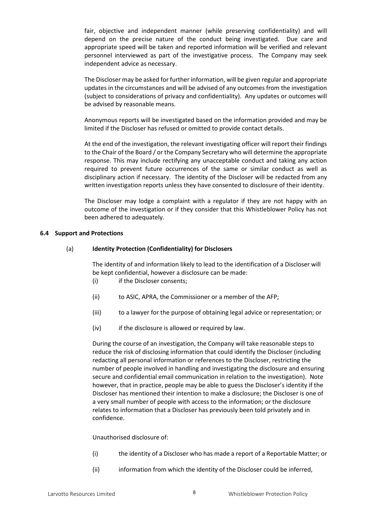fair, objective and independent manner (while preserving confidentiality) and will depend on the precise nature of the conduct being investigated. Due care and appropriate speed will be taken and reported information will be verified and relevant personnel interviewed as part of the investigative process. The Company may seek independent advice as necessary.

The Discloser may be asked for further information, will be given regular and appropriate updates in the circumstances and will be advised of any outcomes from the investigation (subject to considerations of privacy and confidentiality). Any updates or outcomes will be advised by reasonable means.

Anonymous reports will be investigated based on the information provided and may be limited if the Discloser has refused or omitted to provide contact details.

At the end of the investigation, the relevant investigating officer will report their findings to the Chair of the Board / or the Company Secretary who will determine the appropriate response. This may include rectifying any unacceptable conduct and taking any action required to prevent future occurrences of the same or similar conduct as well as disciplinary action if necessary. The identity of the Discloser will be redacted from any written investigation reports unless they have consented to disclosure of their identity.

The Discloser may lodge a complaint with a regulator if they are not happy with an outcome of the investigation or if they consider that this Whistleblower Policy has not been adhered to adequately.

#### **6.4 Support and Protections**

#### (a) **Identity Protection (Confidentiality) for Disclosers**

The identity of and information likely to lead to the identification of a Discloser will be kept confidential, however a disclosure can be made:

- (i) if the Discloser consents;
- (ii) to ASIC, APRA, the Commissioner or a member of the AFP;
- (iii) to a lawyer for the purpose of obtaining legal advice or representation; or
- (iv) if the disclosure is allowed or required by law.

During the course of an investigation, the Company will take reasonable steps to reduce the risk of disclosing information that could identify the Discloser (including redacting all personal information or references to the Discloser, restricting the number of people involved in handling and investigating the disclosure and ensuring secure and confidential email communication in relation to the investigation). Note however, that in practice, people may be able to guess the Discloser's identity if the Discloser has mentioned their intention to make a disclosure; the Discloser is one of a very small number of people with access to the information; or the disclosure relates to information that a Discloser has previously been told privately and in confidence.

Unauthorised disclosure of:

- (i) the identity of a Discloser who has made a report of a Reportable Matter; or
- (ii) information from which the identity of the Discloser could be inferred,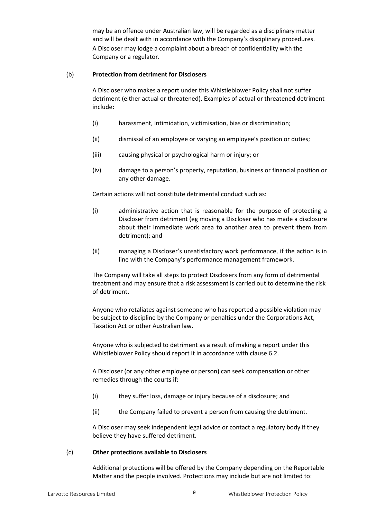may be an offence under Australian law, will be regarded as a disciplinary matter and will be dealt with in accordance with the Company's disciplinary procedures. A Discloser may lodge a complaint about a breach of confidentiality with the Company or a regulator.

#### (b) **Protection from detriment for Disclosers**

A Discloser who makes a report under this Whistleblower Policy shall not suffer detriment (either actual or threatened). Examples of actual or threatened detriment include:

- (i) harassment, intimidation, victimisation, bias or discrimination;
- (ii) dismissal of an employee or varying an employee's position or duties;
- (iii) causing physical or psychological harm or injury; or
- (iv) damage to a person's property, reputation, business or financial position or any other damage.

Certain actions will not constitute detrimental conduct such as:

- (i) administrative action that is reasonable for the purpose of protecting a Discloser from detriment (eg moving a Discloser who has made a disclosure about their immediate work area to another area to prevent them from detriment); and
- (ii) managing a Discloser's unsatisfactory work performance, if the action is in line with the Company's performance management framework.

The Company will take all steps to protect Disclosers from any form of detrimental treatment and may ensure that a risk assessment is carried out to determine the risk of detriment.

Anyone who retaliates against someone who has reported a possible violation may be subject to discipline by the Company or penalties under the Corporations Act, Taxation Act or other Australian law.

Anyone who is subjected to detriment as a result of making a report under this Whistleblower Policy should report it in accordance with clause [6.2.](#page-5-1)

A Discloser (or any other employee or person) can seek compensation or other remedies through the courts if:

- (i) they suffer loss, damage or injury because of a disclosure; and
- (ii) the Company failed to prevent a person from causing the detriment.

A Discloser may seek independent legal advice or contact a regulatory body if they believe they have suffered detriment.

#### (c) **Other protections available to Disclosers**

Additional protections will be offered by the Company depending on the Reportable Matter and the people involved. Protections may include but are not limited to: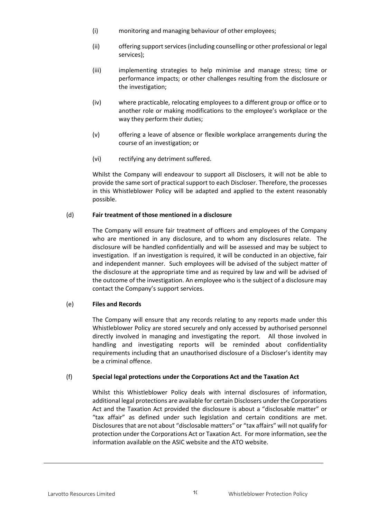- (i) monitoring and managing behaviour of other employees;
- (ii) offering support services (including counselling or other professional or legal services);
- (iii) implementing strategies to help minimise and manage stress; time or performance impacts; or other challenges resulting from the disclosure or the investigation;
- (iv) where practicable, relocating employees to a different group or office or to another role or making modifications to the employee's workplace or the way they perform their duties;
- (v) offering a leave of absence or flexible workplace arrangements during the course of an investigation; or
- (vi) rectifying any detriment suffered.

Whilst the Company will endeavour to support all Disclosers, it will not be able to provide the same sort of practical support to each Discloser. Therefore, the processes in this Whistleblower Policy will be adapted and applied to the extent reasonably possible.

### (d) **Fair treatment of those mentioned in a disclosure**

The Company will ensure fair treatment of officers and employees of the Company who are mentioned in any disclosure, and to whom any disclosures relate. The disclosure will be handled confidentially and will be assessed and may be subject to investigation. If an investigation is required, it will be conducted in an objective, fair and independent manner. Such employees will be advised of the subject matter of the disclosure at the appropriate time and as required by law and will be advised of the outcome of the investigation. An employee who is the subject of a disclosure may contact the Company's support services.

#### (e) **Files and Records**

The Company will ensure that any records relating to any reports made under this Whistleblower Policy are stored securely and only accessed by authorised personnel directly involved in managing and investigating the report. All those involved in handling and investigating reports will be reminded about confidentiality requirements including that an unauthorised disclosure of a Discloser's identity may be a criminal offence.

# (f) **Special legal protections under the Corporations Act and the Taxation Act**

Whilst this Whistleblower Policy deals with internal disclosures of information, additional legal protections are available for certain Disclosers under the Corporations Act and the Taxation Act provided the disclosure is about a "disclosable matter" or "tax affair" as defined under such legislation and certain conditions are met. Disclosures that are not about "disclosable matters" or "tax affairs" will not qualify for protection under the Corporations Act or Taxation Act. For more information, see the information available on the ASIC website and the ATO website.